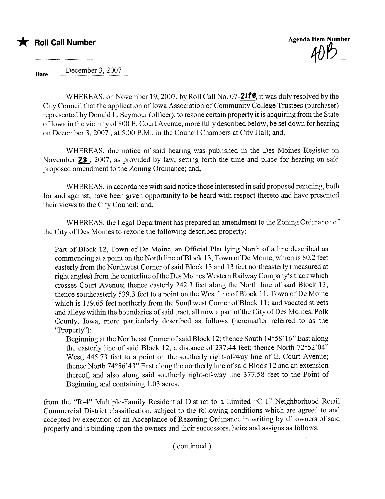



Date..... December 3, 2007

WHEREAS, on November 19, 2007, by Roll Call No. 07-2178, it was duly resolved by the City Council that the application of Iowa Association of Community College Trustees (purchaser) represented by Donald L. Seymour (officer), to rezone certain property it is acquiring from the State of Iowa in the vicinity of 800 E. Court Avenue, more fully described below, be set down for hearing on December 3,2007 , at 5:00 P.M., in the Council Chambers at City Hall; and,

WHEREAS, due notice of said hearing was published in the Des Moines Register on November 23, 2007, as provided by law, setting forth the time and place for hearing on said proposed amendment to the Zoning Ordinance; and,

WHEREAS, in accordance with said notice those interested in said proposed rezoning, both for and against, have been given opportunity to be heard with respect thereto and have presented their views to the City Council; and,

WHEREAS, the Legal Department has prepared an amendment to the Zoning Ordinance of the City of Des Moines to rezone the following described property:

Part of Block 12, Town of De Moine, an Official Plat lying North of a line described as commencing at a point on the North line of Block 13, Town of De Moine, which is 80.2 feet easterly from the Northwest Comer of said Block 13 and 13 feet northeasterly (measured at right angles) from the centerline of the Des Moines Western Railway Company's track which crosses Court Avenue; thence easterly 242.3 feet along the North line of said Block 13; thence southeasterly 539.3 feet to a point on the West line of Block 11, Town of De Moine which is 139.65 feet northerly from the Southwest Comer of Block 11; and vacated streets and alleys within the boundaries of said tract, all now a part of the City of Des Moines, Polk County, Iowa, more particularly described as follows (hereinafter referred to as the "Property") :

Beginning at the Northeast Comer of said Block 12; thence South 14°58'16" East along the easterly line of said Block 12, a distance of 237.44 feet; thence North 72°52'04" West, 445.73 feet to a point on the southerly right-of-way line of E. Court Avenue; thence North 74°56'43" East along the northerly line of said Block 12 and an extension thereof, and also along said southerly right-of-way line 377.58 feet to the Point of Beginning and containing 1.03 acres.

from the "R-4" Multiple-Family Residential District to a Limited "C-1" Neighborhood Retail Commercial District classification, subject to the following conditions which are agreed to and accepted by execution of an Acceptance of Rezoning Ordinance in writing by all owners of said property and is binding upon the owners and their successors, heirs and assigns as follows: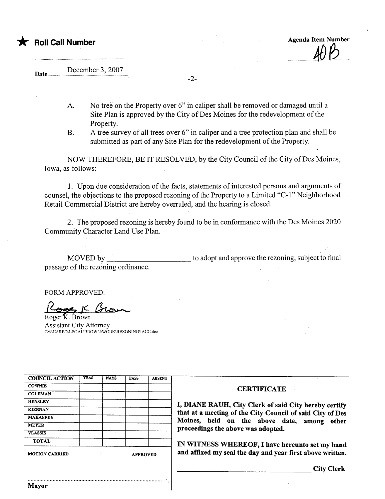

## Date December 3, 2007

A. No tree on the Property over 6" in caliper shall be removed or damaged until a Site Plan is approved by the City of Des Moines for the redevelopment of the Property.

-2-

B. A tree survey of all trees over 6" in caliper and a tree protection plan and shall be submitted as part of any Site Plan for the redevelopment of the Property.

NOW THEREFORE, BE IT RESOLVED, by the City Council of the City of Des Moines, Iowa, as follows:

1. Upon due consideration of the facts, statements of interested persons and arguments of counsel, the objections to the proposed rezoning of the Property to a Limited "C-1" Neighborhood Retail Commercial District are hereby overruled, and the hearing is closed.

2. The proposed rezoning is hereby found to be in conformance with the Des Moines 2020 Community Character Land Use Plan.

MOVED by passage of the rezoning ordinance. to adopt and approve the rezoning, subject to final

..

FORM APPROVED:

Roger K. Brown Assistant City Attorney G:\SHAREDILEGALIBROWNWORKIRZONINGIIACC.doc

| <b>COUNCIL ACTION</b> | <b>YEAS</b> | <b>NAYS</b>     | <b>PASS</b> | <b>ABSENT</b> |
|-----------------------|-------------|-----------------|-------------|---------------|
| <b>COWNIE</b>         |             |                 |             |               |
| <b>COLEMAN</b>        |             |                 |             |               |
| <b>HENSLEY</b>        |             |                 |             |               |
| <b>KIERNAN</b>        |             |                 |             |               |
| <b>MAHAFFEY</b>       |             |                 |             |               |
| <b>MEYER</b>          |             |                 |             |               |
| <b>VLASSIS</b>        |             |                 |             |               |
| <b>TOTAL</b>          |             |                 |             |               |
| <b>MOTION CARRIED</b> |             | <b>APPROVED</b> |             |               |

............ .................. .................. ... ............................. ~.........

Mayor

## **CERTIFICATE**

I, DIANE RAUH, City Clerk of said City hereby certify that at a meeting of the City Council of said City of Des Moines, held on the above date, among other proceedings the above was adopted.

IN WITNESS WHEREOF, I have hereunto set my hand and affixed my seal the day and year first above written.

City Clerk